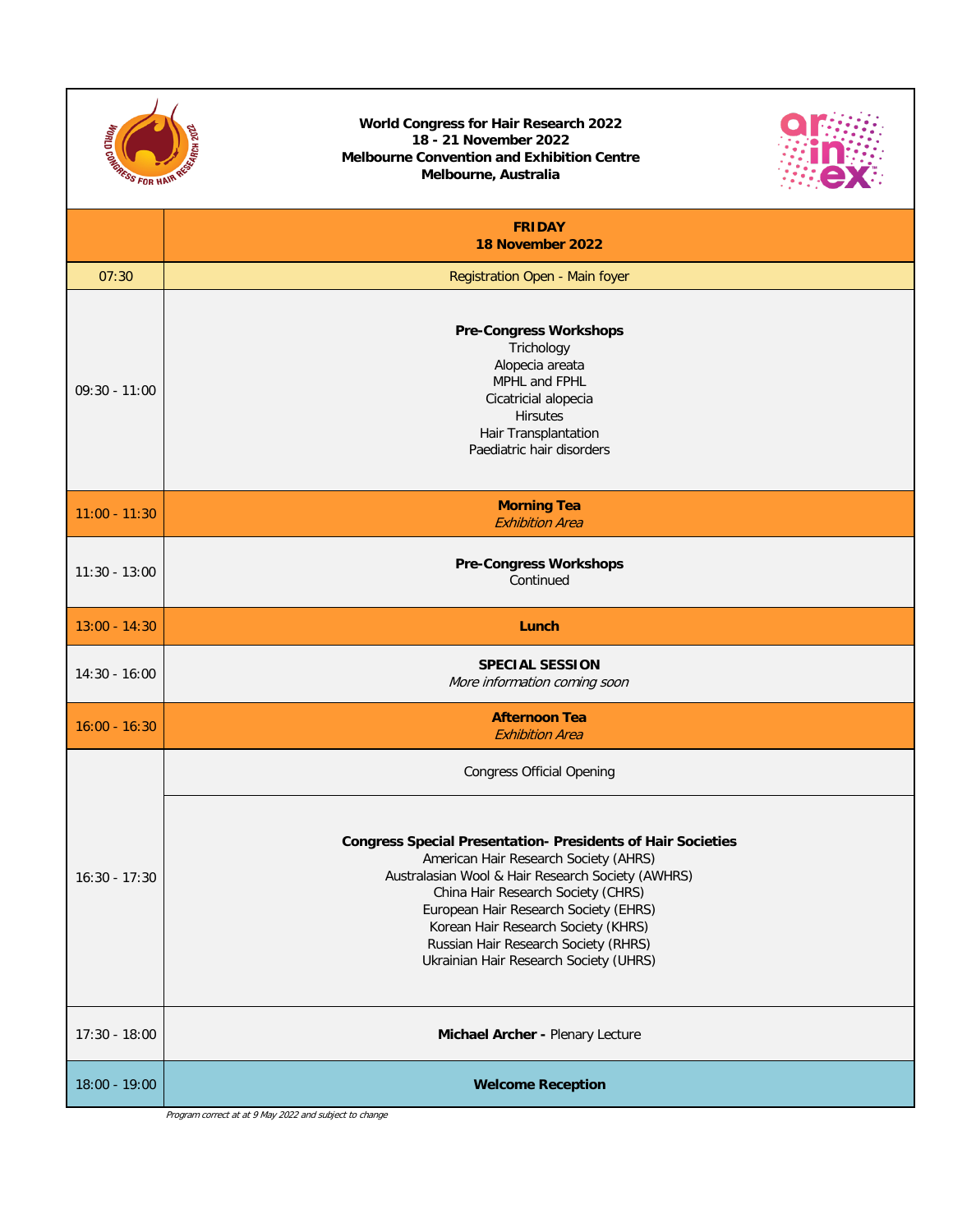| <b>REAL PROPERTY AND REAL PROPERTY.</b> | <b>World Congress for Hair Research 2022</b><br>18 - 21 November 2022<br><b>Melbourne Convention and Exhibition Centre</b><br>Melbourne, Australia                                                                                                                                                                                                                       |  |  |  |  |
|-----------------------------------------|--------------------------------------------------------------------------------------------------------------------------------------------------------------------------------------------------------------------------------------------------------------------------------------------------------------------------------------------------------------------------|--|--|--|--|
|                                         | <b>FRIDAY</b><br>18 November 2022                                                                                                                                                                                                                                                                                                                                        |  |  |  |  |
| 07:30                                   | Registration Open - Main foyer                                                                                                                                                                                                                                                                                                                                           |  |  |  |  |
| $09:30 - 11:00$                         | <b>Pre-Congress Workshops</b><br>Trichology<br>Alopecia areata<br>MPHL and FPHL<br>Cicatricial alopecia<br><b>Hirsutes</b><br>Hair Transplantation<br>Paediatric hair disorders                                                                                                                                                                                          |  |  |  |  |
| $11:00 - 11:30$                         | <b>Morning Tea</b><br><b>Exhibition Area</b>                                                                                                                                                                                                                                                                                                                             |  |  |  |  |
| $11:30 - 13:00$                         | <b>Pre-Congress Workshops</b><br>Continued                                                                                                                                                                                                                                                                                                                               |  |  |  |  |
| $13:00 - 14:30$                         | Lunch                                                                                                                                                                                                                                                                                                                                                                    |  |  |  |  |
| $14:30 - 16:00$                         | <b>SPECIAL SESSION</b><br>More information coming soon                                                                                                                                                                                                                                                                                                                   |  |  |  |  |
| $16:00 - 16:30$                         | <b>Afternoon Tea</b><br><b>Exhibition Area</b>                                                                                                                                                                                                                                                                                                                           |  |  |  |  |
| $16:30 - 17:30$                         | <b>Congress Official Opening</b>                                                                                                                                                                                                                                                                                                                                         |  |  |  |  |
|                                         | <b>Congress Special Presentation- Presidents of Hair Societies</b><br>American Hair Research Society (AHRS)<br>Australasian Wool & Hair Research Society (AWHRS)<br>China Hair Research Society (CHRS)<br>European Hair Research Society (EHRS)<br>Korean Hair Research Society (KHRS)<br>Russian Hair Research Society (RHRS)<br>Ukrainian Hair Research Society (UHRS) |  |  |  |  |
| $17:30 - 18:00$                         | Michael Archer - Plenary Lecture                                                                                                                                                                                                                                                                                                                                         |  |  |  |  |
| 18:00 - 19:00                           | <b>Welcome Reception</b>                                                                                                                                                                                                                                                                                                                                                 |  |  |  |  |
|                                         | Program correct at at 9 May 2022 and subject to change                                                                                                                                                                                                                                                                                                                   |  |  |  |  |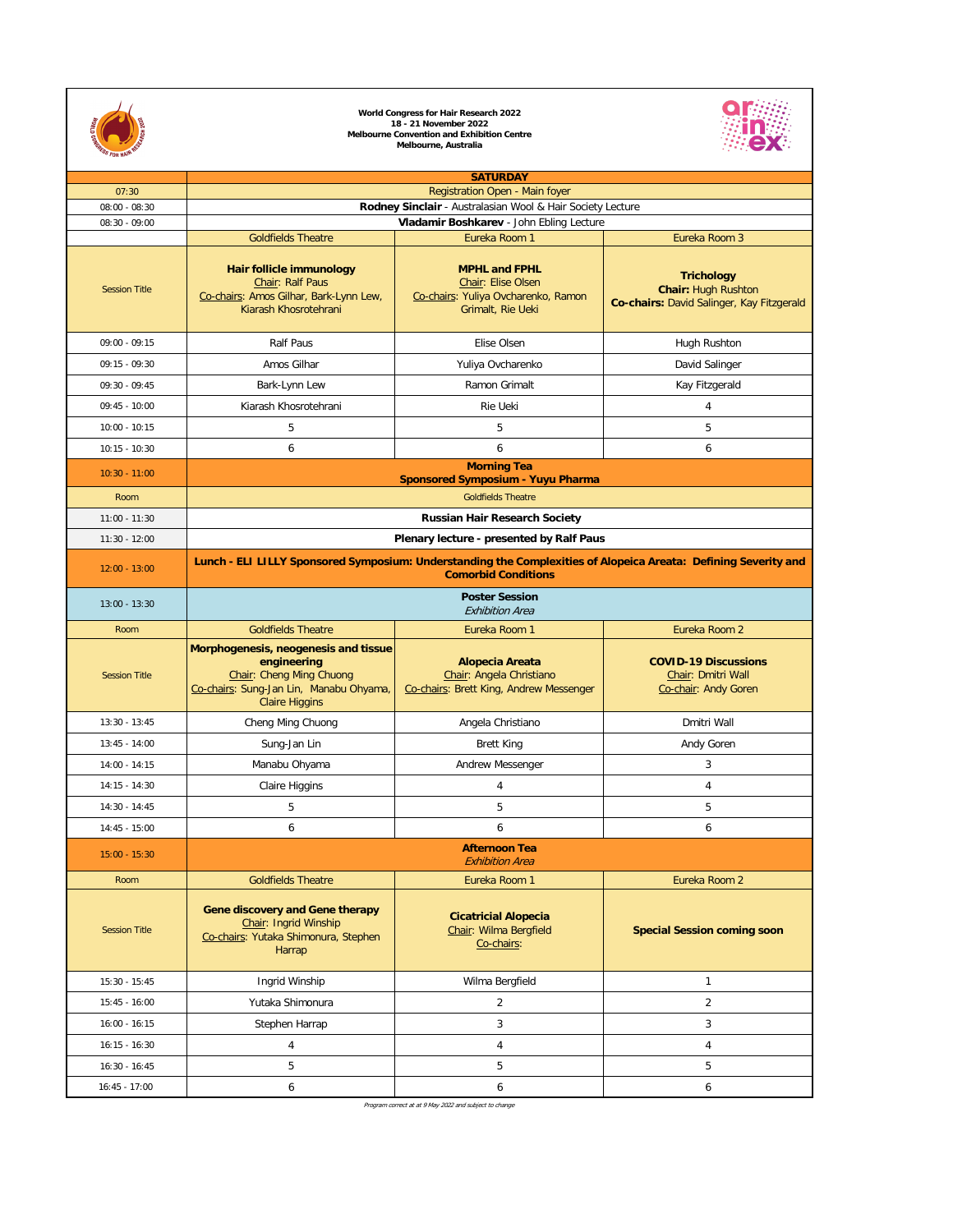| 07:30                |                                                                                                                                                     | <b>SATURDAY</b><br>Registration Open - Main foyer                                                      |                                                                                              |  |  |
|----------------------|-----------------------------------------------------------------------------------------------------------------------------------------------------|--------------------------------------------------------------------------------------------------------|----------------------------------------------------------------------------------------------|--|--|
| $08:00 - 08:30$      |                                                                                                                                                     | Rodney Sinclair - Australasian Wool & Hair Society Lecture                                             |                                                                                              |  |  |
| $08:30 - 09:00$      | Vladamir Boshkarev - John Ebling Lecture                                                                                                            |                                                                                                        |                                                                                              |  |  |
|                      | <b>Goldfields Theatre</b>                                                                                                                           | Eureka Room 1                                                                                          | Eureka Room 3                                                                                |  |  |
| <b>Session Title</b> | <b>Hair follicle immunology</b><br>Chair: Ralf Paus<br>Co-chairs: Amos Gilhar, Bark-Lynn Lew,<br>Kiarash Khosrotehrani                              | <b>MPHL and FPHL</b><br>Chair: Elise Olsen<br>Co-chairs: Yuliya Ovcharenko, Ramon<br>Grimalt, Rie Ueki | <b>Trichology</b><br><b>Chair: Hugh Rushton</b><br>Co-chairs: David Salinger, Kay Fitzgerald |  |  |
| $09:00 - 09:15$      | <b>Ralf Paus</b>                                                                                                                                    | Elise Olsen                                                                                            | Hugh Rushton                                                                                 |  |  |
| $09:15 - 09:30$      | Amos Gilhar                                                                                                                                         | Yuliya Ovcharenko                                                                                      | David Salinger                                                                               |  |  |
| $09:30 - 09:45$      | Bark-Lynn Lew                                                                                                                                       | Ramon Grimalt                                                                                          | Kay Fitzgerald                                                                               |  |  |
| $09:45 - 10:00$      | Kiarash Khosrotehrani                                                                                                                               | <b>Rie Ueki</b>                                                                                        | 4                                                                                            |  |  |
| $10:00 - 10:15$      | 5                                                                                                                                                   | 5                                                                                                      | 5                                                                                            |  |  |
| $10:15 - 10:30$      | 6                                                                                                                                                   | 6                                                                                                      | 6                                                                                            |  |  |
| $10:30 - 11:00$      |                                                                                                                                                     | <b>Morning Tea</b><br><b>Sponsored Symposium - Yuyu Pharma</b>                                         |                                                                                              |  |  |
| Room                 |                                                                                                                                                     | <b>Goldfields Theatre</b>                                                                              |                                                                                              |  |  |
| $11:00 - 11:30$      |                                                                                                                                                     | <b>Russian Hair Research Society</b>                                                                   |                                                                                              |  |  |
| $11:30 - 12:00$      |                                                                                                                                                     | Plenary lecture - presented by Ralf Paus                                                               |                                                                                              |  |  |
| $12:00 - 13:00$      | Lunch - ELI LILLY Sponsored Symposium: Understanding the Complexities of Alopeica Areata: Defining Severity and<br><b>Comorbid Conditions</b>       |                                                                                                        |                                                                                              |  |  |
| $13:00 - 13:30$      | <b>Poster Session</b><br><b>Exhibition Area</b>                                                                                                     |                                                                                                        |                                                                                              |  |  |
| Room                 | <b>Goldfields Theatre</b>                                                                                                                           | Eureka Room 1                                                                                          | Eureka Room 2                                                                                |  |  |
| <b>Session Title</b> | Morphogenesis, neogenesis and tissue<br>engineering<br>Chair: Cheng Ming Chuong<br>Co-chairs: Sung-Jan Lin, Manabu Ohyama,<br><b>Claire Higgins</b> | <b>Alopecia Areata</b><br>Chair: Angela Christiano<br>Co-chairs: Brett King, Andrew Messenger          | <b>COVID-19 Discussions</b><br>Chair: Dmitri Wall<br>Co-chair: Andy Goren                    |  |  |
| $13:30 - 13:45$      | Cheng Ming Chuong                                                                                                                                   | Angela Christiano                                                                                      | Dmitri Wall                                                                                  |  |  |
| $13:45 - 14:00$      | Sung-Jan Lin                                                                                                                                        | <b>Brett King</b>                                                                                      | Andy Goren                                                                                   |  |  |
| $14:00 - 14:15$      | Manabu Ohyama                                                                                                                                       | Andrew Messenger                                                                                       | 3                                                                                            |  |  |
| $14:15 - 14:30$      | <b>Claire Higgins</b>                                                                                                                               | 4                                                                                                      | 4                                                                                            |  |  |
| $14:30 - 14:45$      | 5                                                                                                                                                   | 5                                                                                                      | 5                                                                                            |  |  |
| $14:45 - 15:00$      | 6                                                                                                                                                   | 6                                                                                                      | 6                                                                                            |  |  |
| $15:00 - 15:30$      | <b>Afternoon Tea</b><br><b>Exhibition Area</b>                                                                                                      |                                                                                                        |                                                                                              |  |  |
| Room                 | <b>Goldfields Theatre</b>                                                                                                                           | Eureka Room 1                                                                                          | Eureka Room 2                                                                                |  |  |
| <b>Session Title</b> | <b>Gene discovery and Gene therapy</b><br>Chair: Ingrid Winship<br>Co-chairs: Yutaka Shimonura, Stephen<br>Harrap                                   | <b>Cicatricial Alopecia</b><br>Chair: Wilma Bergfield<br>Co-chairs:                                    | <b>Special Session coming soon</b>                                                           |  |  |
| $15:30 - 15:45$      | Ingrid Winship                                                                                                                                      | Wilma Bergfield                                                                                        |                                                                                              |  |  |
| $15:45 - 16:00$      | Yutaka Shimonura                                                                                                                                    | $\overline{2}$                                                                                         | $\overline{2}$                                                                               |  |  |
| $16:00 - 16:15$      | Stephen Harrap                                                                                                                                      | 3                                                                                                      | 3                                                                                            |  |  |
| $16:15 - 16:30$      | 4                                                                                                                                                   | 4                                                                                                      | 4                                                                                            |  |  |
| $16:30 - 16:45$      | 5                                                                                                                                                   | 5                                                                                                      | 5                                                                                            |  |  |
| $16:45 - 17:00$      | 6                                                                                                                                                   | 6                                                                                                      | 6                                                                                            |  |  |



**World Congress for Hair Research 2022 18 - 21 November 2022 Melbourne Convention and Exhibition Centre Melbourne, Australia**



Program correct at at 9 May 2022 and subject to change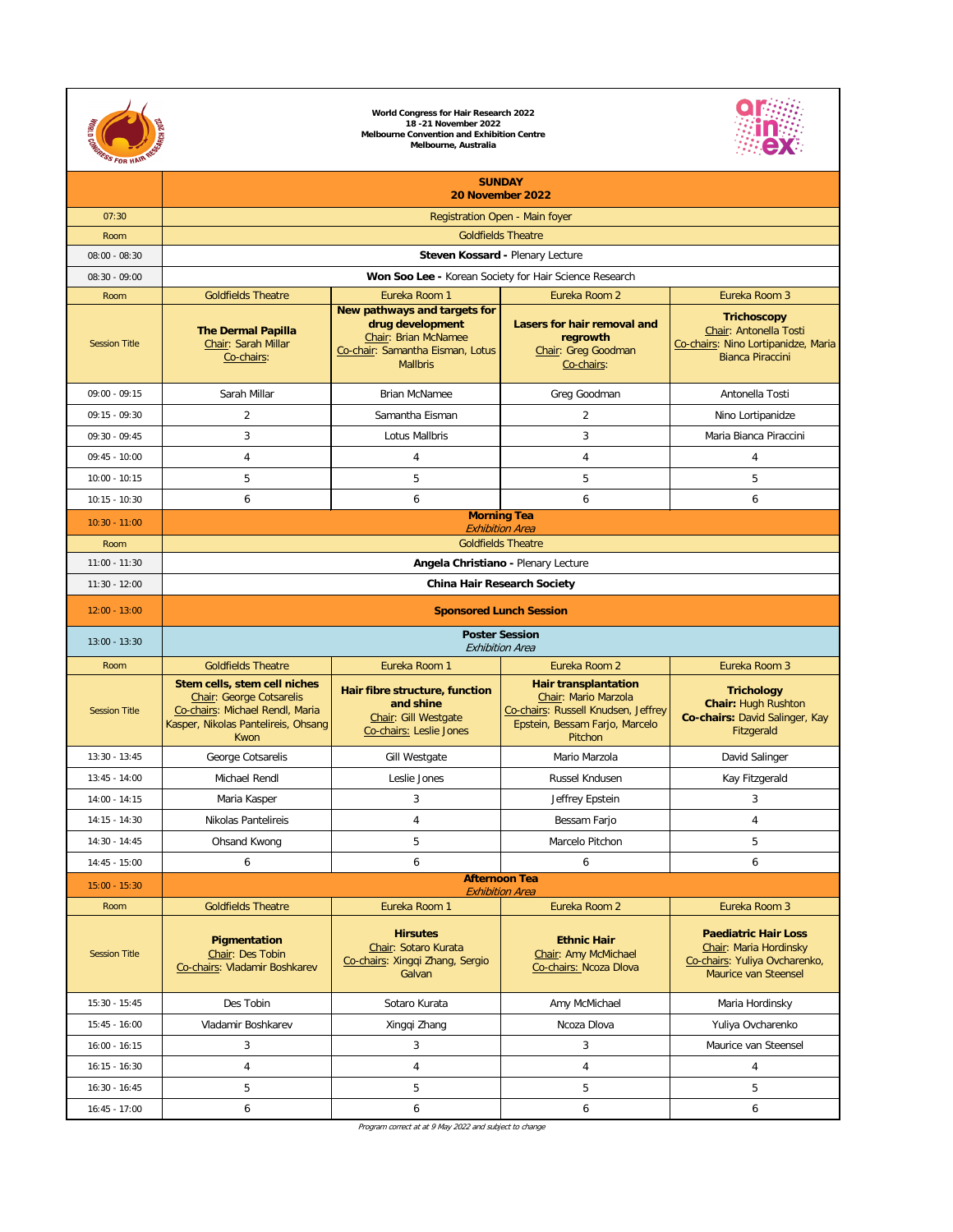| <b>CARRIAGES FOR HAIR</b><br><b>SEARCH 202</b> |                                                                                                                                                   |                                                                                                                                        |                                                                                                                                         |                                                                                                                       |  |  |  |
|------------------------------------------------|---------------------------------------------------------------------------------------------------------------------------------------------------|----------------------------------------------------------------------------------------------------------------------------------------|-----------------------------------------------------------------------------------------------------------------------------------------|-----------------------------------------------------------------------------------------------------------------------|--|--|--|
|                                                | <b>SUNDAY</b>                                                                                                                                     |                                                                                                                                        |                                                                                                                                         |                                                                                                                       |  |  |  |
| 07:30                                          | 20 November 2022<br><b>Registration Open - Main foyer</b>                                                                                         |                                                                                                                                        |                                                                                                                                         |                                                                                                                       |  |  |  |
| Room                                           |                                                                                                                                                   |                                                                                                                                        | <b>Goldfields Theatre</b>                                                                                                               |                                                                                                                       |  |  |  |
| $08:00 - 08:30$                                |                                                                                                                                                   |                                                                                                                                        | <b>Steven Kossard - Plenary Lecture</b>                                                                                                 |                                                                                                                       |  |  |  |
| $08:30 - 09:00$                                | Won Soo Lee - Korean Society for Hair Science Research                                                                                            |                                                                                                                                        |                                                                                                                                         |                                                                                                                       |  |  |  |
| Room                                           | <b>Goldfields Theatre</b>                                                                                                                         | Eureka Room 1                                                                                                                          | Eureka Room 2                                                                                                                           | Eureka Room 3                                                                                                         |  |  |  |
| <b>Session Title</b>                           | <b>The Dermal Papilla</b><br>Chair: Sarah Millar<br>Co-chairs:                                                                                    | New pathways and targets for<br>drug development<br><b>Chair: Brian McNamee</b><br>Co-chair: Samantha Eisman, Lotus<br><b>Mallbris</b> | <b>Lasers for hair removal and</b><br>regrowth<br>Chair: Greg Goodman<br>Co-chairs:                                                     | <b>Trichoscopy</b><br>Chair: Antonella Tosti<br>Co-chairs: Nino Lortipanidze, Maria<br><b>Bianca Piraccini</b>        |  |  |  |
| $09:00 - 09:15$                                | Sarah Millar                                                                                                                                      | <b>Brian McNamee</b>                                                                                                                   | Greg Goodman                                                                                                                            | Antonella Tosti                                                                                                       |  |  |  |
| $09:15 - 09:30$                                | $\overline{2}$                                                                                                                                    | Samantha Eisman                                                                                                                        | $\overline{2}$                                                                                                                          | Nino Lortipanidze                                                                                                     |  |  |  |
| $09:30 - 09:45$                                | $\overline{3}$                                                                                                                                    | Lotus Mallbris                                                                                                                         | $\mathfrak{Z}$                                                                                                                          | Maria Bianca Piraccini                                                                                                |  |  |  |
| $09:45 - 10:00$                                | 4                                                                                                                                                 | 4                                                                                                                                      | 4                                                                                                                                       |                                                                                                                       |  |  |  |
| $10:00 - 10:15$                                | 5                                                                                                                                                 | 5                                                                                                                                      | 5                                                                                                                                       | 5                                                                                                                     |  |  |  |
| $10:15 - 10:30$                                | 6                                                                                                                                                 | 6                                                                                                                                      | 6                                                                                                                                       | 6                                                                                                                     |  |  |  |
| $10:30 - 11:00$                                | <b>Morning Tea</b><br><b>Exhibition Area</b>                                                                                                      |                                                                                                                                        |                                                                                                                                         |                                                                                                                       |  |  |  |
| Room                                           | <b>Goldfields Theatre</b>                                                                                                                         |                                                                                                                                        |                                                                                                                                         |                                                                                                                       |  |  |  |
| $11:00 - 11:30$                                | <b>Angela Christiano - Plenary Lecture</b>                                                                                                        |                                                                                                                                        |                                                                                                                                         |                                                                                                                       |  |  |  |
| $11:30 - 12:00$                                | <b>China Hair Research Society</b>                                                                                                                |                                                                                                                                        |                                                                                                                                         |                                                                                                                       |  |  |  |
| $12:00 - 13:00$                                | <b>Sponsored Lunch Session</b>                                                                                                                    |                                                                                                                                        |                                                                                                                                         |                                                                                                                       |  |  |  |
| $13:00 - 13:30$                                | <b>Poster Session</b><br><b>Exhibition Area</b>                                                                                                   |                                                                                                                                        |                                                                                                                                         |                                                                                                                       |  |  |  |
| Room                                           | <b>Goldfields Theatre</b>                                                                                                                         | Eureka Room 1                                                                                                                          | Eureka Room 2                                                                                                                           | Eureka Room 3                                                                                                         |  |  |  |
|                                                |                                                                                                                                                   |                                                                                                                                        |                                                                                                                                         |                                                                                                                       |  |  |  |
| <b>Session Title</b>                           | Stem cells, stem cell niches<br><b>Chair: George Cotsarelis</b><br>Co-chairs: Michael Rendl, Maria<br>Kasper, Nikolas Pantelireis, Ohsang<br>Kwon | Hair fibre structure, function<br>and shine<br>Chair: Gill Westgate<br>Co-chairs: Leslie Jones                                         | <b>Hair transplantation</b><br>Chair: Mario Marzola<br>Co-chairs: Russell Knudsen, Jeffrey<br>Epstein, Bessam Farjo, Marcelo<br>Pitchon | <b>Trichology</b><br><b>Chair: Hugh Rushton</b><br>Co-chairs: David Salinger, Kay<br>Fitzgerald                       |  |  |  |
| $13:30 - 13:45$                                | George Cotsarelis                                                                                                                                 | <b>Gill Westgate</b>                                                                                                                   | Mario Marzola                                                                                                                           | David Salinger                                                                                                        |  |  |  |
| $13:45 - 14:00$                                | Michael Rendl                                                                                                                                     | Leslie Jones                                                                                                                           | Russel Kndusen                                                                                                                          | Kay Fitzgerald                                                                                                        |  |  |  |
| $14:00 - 14:15$                                | Maria Kasper                                                                                                                                      | 3                                                                                                                                      | Jeffrey Epstein                                                                                                                         | $\mathfrak{Z}$                                                                                                        |  |  |  |
| $14:15 - 14:30$                                | Nikolas Pantelireis                                                                                                                               | 4                                                                                                                                      | Bessam Farjo                                                                                                                            | 4                                                                                                                     |  |  |  |
| $14:30 - 14:45$                                | <b>Ohsand Kwong</b>                                                                                                                               | 5                                                                                                                                      | Marcelo Pitchon                                                                                                                         | 5                                                                                                                     |  |  |  |
| $14:45 - 15:00$                                | 6                                                                                                                                                 | 6                                                                                                                                      | 6                                                                                                                                       | 6                                                                                                                     |  |  |  |
| $15:00 - 15:30$                                |                                                                                                                                                   |                                                                                                                                        | <b>Afternoon Tea</b><br><b>Exhibition Area</b>                                                                                          |                                                                                                                       |  |  |  |
| Room                                           | <b>Goldfields Theatre</b>                                                                                                                         | Eureka Room 1                                                                                                                          | Eureka Room 2                                                                                                                           | Eureka Room 3                                                                                                         |  |  |  |
| <b>Session Title</b>                           | <b>Pigmentation</b><br>Chair: Des Tobin<br>Co-chairs: Vladamir Boshkarev                                                                          | <b>Hirsutes</b><br>Chair: Sotaro Kurata<br>Co-chairs: Xingqi Zhang, Sergio<br>Galvan                                                   | <b>Ethnic Hair</b><br>Chair: Amy McMichael<br>Co-chairs: Ncoza Dlova                                                                    | <b>Paediatric Hair Loss</b><br>Chair: Maria Hordinsky<br>Co-chairs: Yuliya Ovcharenko,<br><b>Maurice van Steensel</b> |  |  |  |
| $15:30 - 15:45$                                | Des Tobin                                                                                                                                         | Sotaro Kurata                                                                                                                          | Amy McMichael                                                                                                                           | Maria Hordinsky                                                                                                       |  |  |  |
| $15:45 - 16:00$                                | Vladamir Boshkarev                                                                                                                                | Xingqi Zhang                                                                                                                           | Ncoza Dlova                                                                                                                             | Yuliya Ovcharenko                                                                                                     |  |  |  |
| $16:00 - 16:15$                                | $\mathbf{3}$                                                                                                                                      | 3                                                                                                                                      | $\mathfrak{Z}$                                                                                                                          | Maurice van Steensel                                                                                                  |  |  |  |
| $16:15 - 16:30$                                | 4                                                                                                                                                 | 4                                                                                                                                      | 4                                                                                                                                       | $\overline{4}$                                                                                                        |  |  |  |
| $16:30 - 16:45$                                | 5                                                                                                                                                 | 5                                                                                                                                      | 5                                                                                                                                       | 5                                                                                                                     |  |  |  |

Program correct at at 9 May 2022 and subject to change